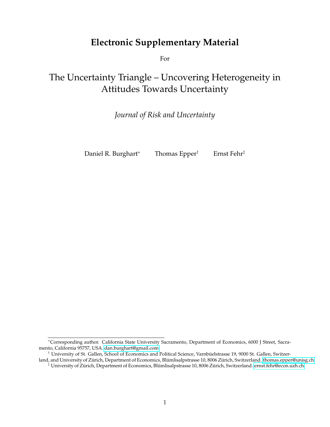# **Electronic Supplementary Material**

For

# The Uncertainty Triangle – Uncovering Heterogeneity in Attitudes Towards Uncertainty

*Journal of Risk and Uncertainty*

Daniel R. Burghart<sup>∗</sup> Thomas Epper† Ernst Fehr‡

<sup>∗</sup>Corresponding author. California State University Sacramento, Department of Economics, 6000 J Street, Sacramento, California 95757, USA. [dan.burghart@gmail.com](mailto:dan.burghart@gmail.com)

<sup>†</sup> University of St. Gallen, School of Economics and Political Science, Varnbuelstrasse 19, 9000 St. Gallen, Switzer- ¨

land, and University of Zürich, Department of Economics, Blümlisalpstrasse 10, 8006 Zürich, Switzerland. [thomas.epper@unisg.ch](mailto:thomas.epper@unisg.ch)  $\ddagger$  University of Zürich, Department of Economics, Blümlisalpstrasse 10, 8006 Zürich, Switzerland. [ernst.fehr@econ.uzh.ch](mailto:ernst.fehr@econ.uzh.ch)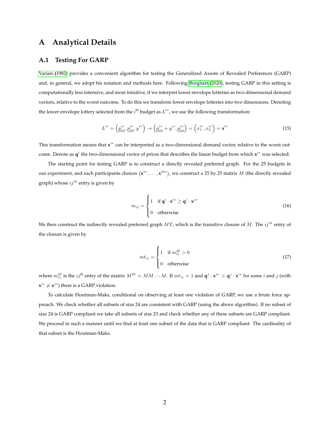## **A Analytical Details**

#### **A.1 Testing For GARP**

[Varian](#page--1-0) [\(1982\)](#page--1-0) provides a convenient algorithm for testing the Generalized Axiom of Revealed Preferences (GARP) and, in general, we adopt his notation and methods here. Following [Burghart](#page--1-1) [\(2020\)](#page--1-1), testing GARP in this setting is computationally less intensive, and more intuitive, if we interpret lower envelope lotteries as two-dimensional demand vectors, relative to the worst outcome. To do this we transform lower envelope lotteries into two dimensions. Denoting the lower envelope lottery selected from the *i*<sup>th</sup> budget as  $L^{i*}$ , we use the following transformation:

$$
L^{i*} = \left(\underline{p}_{60}^{i*}, \underline{p}_{20}^{i*}, y^{i*}\right) \rightarrow \left(\underline{p}_{60}^{i*} + y^{i*}, \underline{p}_{60}^{i*}\right) = \left(x_1^{i*}, x_2^{i*}\right) = \mathbf{x}^{i*} \tag{15}
$$

This transformation means that x<sup>*i*∗</sup> can be interpreted as a two-dimensional demand vector, relative to the worst outcome. Denote as q<sup>i</sup> the two-dimensional vector of prices that describes the linear budget from which **x**<sup>i∗</sup> was selected.

The starting point for testing GARP is to construct a directly revealed preferred graph. For the 25 budgets in our experiment, and each participants choices  $(x^{1*}, \ldots, x^{25*})$ , we construct a 25 by 25 matrix  $M$  (the directly revealed graph) whose  $ij^{th}$  entry is given by

$$
m_{ij} = \begin{cases} 1 & \text{if } \mathbf{q}^i \cdot \mathbf{x}^{i*} \ge \mathbf{q}^i \cdot \mathbf{x}^{j*} \\ 0 & \text{otherwise} \end{cases}
$$
(16)

We then construct the indirectly revealed preferred graph  $MT$ , which is the transitive closure of M. The  $ij^{th}$  entry of the closure is given by

$$
mt_{ij} = \begin{cases} 1 & \text{if } m_{ij}^{25} > 0 \\ 0 & \text{otherwise} \end{cases}
$$
 (17)

where  $m_{ij}^{25}$  is the  $ij$ <sup>th</sup> entry of the matrix  $M^{25} = MM \cdots M$ . If  $mt_{ij} = 1$  and  $\mathbf{q}^j \cdot \mathbf{x}^{j*} > \mathbf{q}^j \cdot \mathbf{x}^{i*}$  for some *i* and *j* (with  $\mathbf{x}^{i*} \neq \mathbf{x}^{j*}$ ) there is a GARP violation.

To calculate Houtman-Maks, conditional on observing at least one violation of GARP, we use a brute force approach. We check whether all subsets of size 24 are consistent with GARP (using the above algorithm). If no subset of size 24 is GARP compliant we take all subsets of size 23 and check whether any of these subsets are GARP compliant. We proceed in such a manner until we find at least one subset of the data that is GARP compliant. The cardinality of that subset is the Houtman-Maks.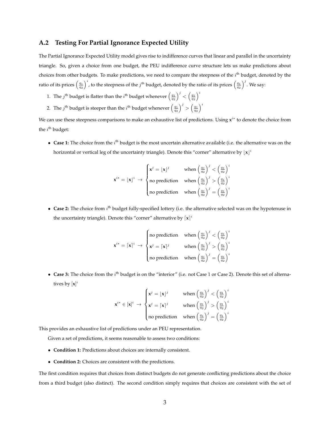#### **A.2 Testing For Partial Ignorance Expected Utility**

The Partial Ignorance Expected Utility model gives rise to indifference curves that linear and parallel in the uncertainty triangle. So, given a choice from one budget, the PEU indifference curve structure lets us make predictions about choices from other budgets. To make predictions, we need to compare the steepness of the i<sup>th</sup> budget, denoted by the ratio of its prices  $\left(\frac{q_1}{q_2}\right)^i$ , to the steepness of the  $j^{\text{th}}$  budget, denoted by the ratio of its prices  $\left(\frac{q_1}{q_2}\right)^j$ . We say:

- 1. The  $j^{\text{th}}$  budget is flatter than the  $i^{\text{th}}$  budget whenever  $\left(\frac{q_1}{q_2}\right)^j < \left(\frac{q_1}{q_2}\right)^i$
- 2. The  $j^{\text{th}}$  budget is steeper than the  $i^{\text{th}}$  budget whenever  $\left(\frac{q_1}{q_2}\right)^j > \left(\frac{q_1}{q_2}\right)^i$

We can use these steepness comparisons to make an exhaustive list of predictions. Using x<sup>*i∗*</sup> to denote the choice from the  $i^{\text{th}}$  budget:

 $\bullet$  Case 1: The choice from the  $i^{\text{th}}$  budget is the most uncertain alternative available (i.e. the alternative was on the horizontal or vertical leg of the uncertainty triangle). Denote this "corner" alternative by  $\lfloor x \rfloor^i$ 

$$
\mathbf{x}^{i*} = [\mathbf{x}]^i \rightarrow \begin{cases} \mathbf{x}^j = [\mathbf{x}]^j & \text{when } \left(\frac{q_1}{q_2}\right)^j < \left(\frac{q_1}{q_2}\right)^i \\ \text{no prediction} & \text{when } \left(\frac{q_1}{q_2}\right)^j > \left(\frac{q_1}{q_2}\right)^i \\ \text{no prediction} & \text{when } \left(\frac{q_1}{q_2}\right)^j = \left(\frac{q_1}{q_2}\right)^i \end{cases}
$$

 $\bullet$  Case 2: The choice from  $i^{\text{th}}$  budget fully-specified lottery (i.e. the alternative selected was on the hypotenuse in the uncertainty triangle). Denote this "corner" alternative by  $\lceil x \rceil^i$ 

$$
\mathbf{x}^{i*} = \begin{bmatrix} \mathbf{x} \end{bmatrix}^i \rightarrow \begin{cases} \text{no prediction} & \text{when } \left(\frac{q_1}{q_2}\right)^j < \left(\frac{q_1}{q_2}\right)^i \\ \mathbf{x}^j = \begin{bmatrix} \mathbf{x} \end{bmatrix}^j & \text{when } \left(\frac{q_1}{q_2}\right)^j > \left(\frac{q_1}{q_2}\right)^i \\ \text{no prediction} & \text{when } \left(\frac{q_1}{q_2}\right)^j = \left(\frac{q_1}{q_2}\right)^i \end{cases}
$$

 $\bullet$  Case 3: The choice from the  $i^{\text{th}}$  budget is on the "interior" (i.e. not Case 1 or Case 2). Denote this set of alternatives by [**x**] i

$$
\mathbf{x}^{i*} \in [\mathbf{x}]^i \rightarrow \begin{cases} \mathbf{x}^j = [\mathbf{x}]^j & \text{when } \left(\frac{q_1}{q_2}\right)^j < \left(\frac{q_1}{q_2}\right)^i \\ \mathbf{x}^j = [\mathbf{x}]^j & \text{when } \left(\frac{q_1}{q_2}\right)^j > \left(\frac{q_1}{q_2}\right)^i \\ \text{no prediction} & \text{when } \left(\frac{q_1}{q_2}\right)^j = \left(\frac{q_1}{q_2}\right)^i \end{cases}
$$

This provides an exhaustive list of predictions under an PEU representation.

Given a set of predictions, it seems reasonable to assess two conditions:

- **Condition 1:** Predictions about choices are internally consistent.
- **Condition 2:** Choices are consistent with the predictions.

The first condition requires that choices from distinct budgets do not generate conflicting predictions about the choice from a third budget (also distinct). The second condition simply requires that choices are consistent with the set of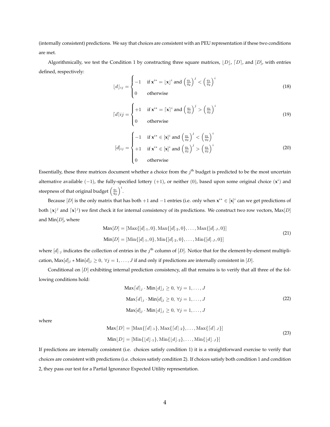(internally consistent) predictions. We say that choices are consistent with an PEU representation if these two conditions are met.

Algorithmically, we test the Condition 1 by constructing three square matrices,  $|D|$ ,  $[D]$ , and  $[D]$ , with entries defined, respectively:

$$
\lfloor d \rfloor_{ij} = \begin{cases} -1 & \text{if } \mathbf{x}^{i*} = \lfloor \mathbf{x} \rfloor^i \text{ and } \left( \frac{q_1}{q_2} \right)^j < \left( \frac{q_1}{q_2} \right)^i \\ 0 & \text{otherwise} \end{cases} \tag{18}
$$

$$
\lceil d \rceil ij = \begin{cases} +1 & \text{if } \mathbf{x}^{i*} = \lceil \mathbf{x} \rceil^i \text{ and } \left(\frac{q_1}{q_2}\right)^j > \left(\frac{q_1}{q_2}\right)^i \\ 0 & \text{otherwise} \end{cases} \tag{19}
$$

$$
[d]_{ij} = \begin{cases} -1 & \text{if } \mathbf{x}^{i*} \in [\mathbf{x}]^i \text{ and } \left(\frac{q_1}{q_2}\right)^j < \left(\frac{q_1}{q_2}\right)^i\\ +1 & \text{if } \mathbf{x}^{i*} \in [\mathbf{x}]^i \text{ and } \left(\frac{q_1}{q_2}\right)^j > \left(\frac{q_1}{q_2}\right)^i\\ 0 & \text{otherwise} \end{cases} \tag{20}
$$

Essentially, these three matrices document whether a choice from the  $j<sup>th</sup>$  budget is predicted to be the most uncertain alternative available (-1), the fully-specified lottery (+1), or neither (0), based upon some original choice (x<sup>i</sup>) and steepness of that original budget  $\left(\frac{q_1}{q_2}\right)^i$ .

Because [D] is the only matrix that has both +1 and −1 entries (i.e. only when **x** <sup>i</sup><sup>∗</sup> ∈ [**x**] i can we get predictions of both  $\bf{x}$ <sup>*j*</sup> and  $\bf{x}$ <sup>*j*</sup>) we first check it for internal consistency of its predictions. We construct two row vectors, Max[*D*] and  $Min[D]$ , where

$$
\text{Max}[D] = [\text{Max}\{[d]_{\cdot 1}, 0\}, \text{Max}\{[d]_{\cdot 2}, 0\}, \dots, \text{Max}\{[d]_{\cdot J}, 0\}]
$$
\n
$$
\text{Min}[D] = [\text{Min}\{[d]_{\cdot 1}, 0\}, \text{Min}\{[d]_{\cdot 2}, 0\}, \dots, \text{Min}\{[d]_{\cdot J}, 0\}]
$$
\n(21)

where  $[d]$  indicates the collection of entries in the  $j^{\text{th}}$  column of  $[D]$ . Notice that for the element-by-element multiplication,  $\text{Max}[d]_j * \text{Min}[d]_j \geq 0, \forall j = 1, ..., J$  if and only if predictions are internally consistent in [D].

Conditional on  $[D]$  exhibiting internal prediction consistency, all that remains is to verify that all three of the following conditions hold:

$$
\begin{aligned}\n\text{Max}[d]_j \cdot \text{Min}[d]_j &\ge 0, \ \forall j = 1, \dots, J \\
\text{Max}[d]_j \cdot \text{Min}[d]_j &\ge 0, \ \forall j = 1, \dots, J \\
\text{Max}[d]_j \cdot \text{Min}[d]_j &\ge 0, \ \forall j = 1, \dots, J\n\end{aligned}
$$
\n(22)

where

$$
\text{Max}[D] = [\text{Max}\{[d]_{\cdot 1}\}, \text{Max}\{[d]_{\cdot 2}\}, \dots, \text{Max}\{[d]_{\cdot J}\}]
$$
\n
$$
\text{Min}[D] = [\text{Min}\{[d]_{\cdot 1}\}, \text{Min}\{[d]_{\cdot 2}\}, \dots, \text{Min}\{[d]_{\cdot J}\}]
$$
\n(23)

If predictions are internally consistent (i.e. choices satisfy condition 1) it is a straightforward exercise to verify that choices are consistent with predictions (i.e. choices satisfy condition 2). If choices satisfy both condition 1 and condition 2, they pass our test for a Partial Ignorance Expected Utility representation.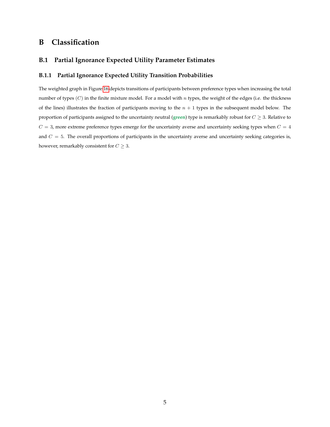## **B Classification**

### **B.1 Partial Ignorance Expected Utility Parameter Estimates**

#### **B.1.1 Partial Ignorance Expected Utility Transition Probabilities**

The weighted graph in Figure [16](#page-5-0) depicts transitions of participants between preference types when increasing the total number of types  $(C)$  in the finite mixture model. For a model with n types, the weight of the edges (i.e. the thickness of the lines) illustrates the fraction of participants moving to the  $n + 1$  types in the subsequent model below. The proportion of participants assigned to the uncertainty neutral (**green**) type is remarkably robust for C ≥ 3. Relative to  $C = 3$ , more extreme preference types emerge for the uncertainty averse and uncertainty seeking types when  $C = 4$ and  $C = 5$ . The overall proportions of participants in the uncertainty averse and uncertainty seeking categories is, however, remarkably consistent for  $C \geq 3$ .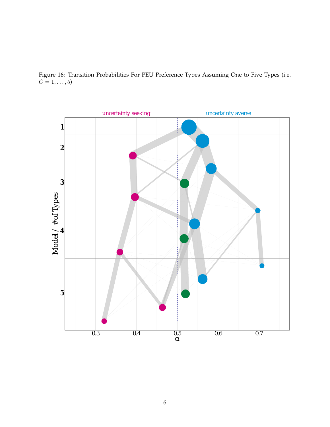

<span id="page-5-0"></span>Figure 16: Transition Probabilities For PEU Preference Types Assuming One to Five Types (i.e.  $C = 1, \ldots, 5$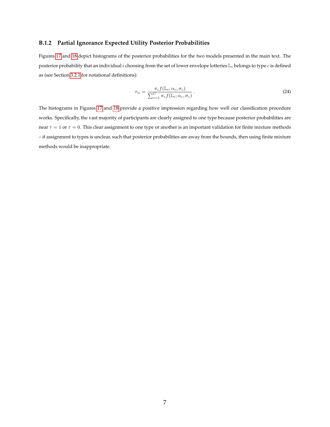#### **B.1.2 Partial Ignorance Expected Utility Posterior Probabilities**

Figures [17](#page-7-0) and [18](#page-7-1) depict histograms of the posterior probabilities for the two models presented in the main text. The posterior probability that an individual i choosing from the set of lower envelope lotteries  $\mathbb{L}_i$  belongs to type c is defined as (see Section [3.2.1](#page--1-2) for notational definitions):

$$
\tau_{ic} = \frac{\pi_c f(\mathbb{L}_i; \alpha_c, \sigma_c)}{\sum_{c=1}^C \pi_c f(\mathbb{L}_i; \alpha_c, \sigma_c)}.
$$
\n(24)

The histograms in Figures [17](#page-7-0) and [18](#page-7-1) provide a positive impression regarding how well our classification procedure works. Specifically, the vast majority of participants are clearly assigned to one type because posterior probabilities are near  $\tau = 1$  or  $\tau = 0$ . This clear assignment to one type or another is an important validation for finite mixture methods – if assignment to types is unclear, such that posterior probabilities are away from the bounds, then using finite mixture methods would be inappropriate.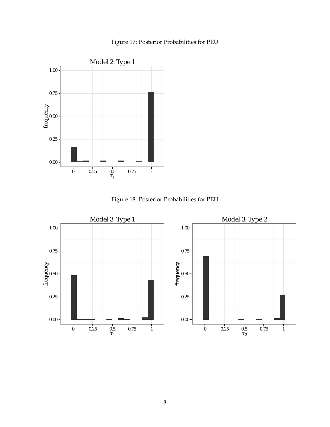

<span id="page-7-0"></span>

Figure 18: Posterior Probabilities for PEU

<span id="page-7-1"></span>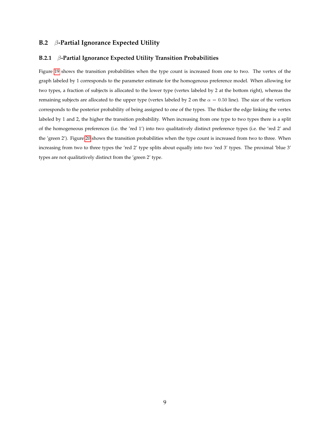#### **B.2** β**-Partial Ignorance Expected Utility**

#### **B.2.1** β**-Partial Ignorance Expected Utility Transition Probabilities**

Figure [19](#page-9-0) shows the transition probabilities when the type count is increased from one to two. The vertex of the graph labeled by 1 corresponds to the parameter estimate for the homogenous preference model. When allowing for two types, a fraction of subjects is allocated to the lower type (vertex labeled by 2 at the bottom right), whereas the remaining subjects are allocated to the upper type (vertex labeled by 2 on the  $\alpha = 0.50$  line). The size of the vertices corresponds to the posterior probability of being assigned to one of the types. The thicker the edge linking the vertex labeled by 1 and 2, the higher the transition probability. When increasing from one type to two types there is a split of the homogeneous preferences (i.e. the 'red 1') into two qualitatively distinct preference types (i.e. the 'red 2' and the 'green 2'). Figure [20](#page-10-0) shows the transition probabilities when the type count is increased from two to three. When increasing from two to three types the 'red 2' type splits about equally into two 'red 3' types. The proximal 'blue 3' types are not qualitatively distinct from the 'green 2' type.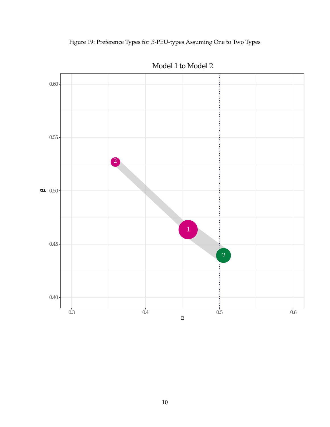<span id="page-9-0"></span>



Model 1 to Model 2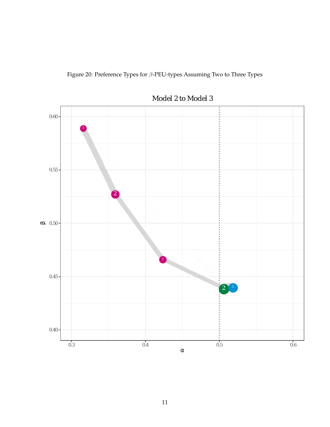<span id="page-10-0"></span>



Model 2 to Model 3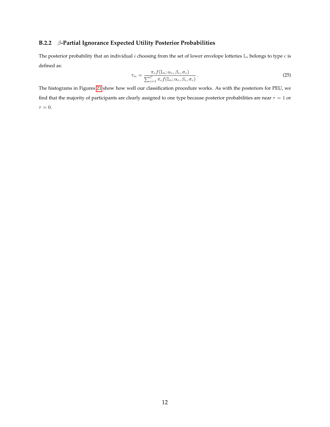### **B.2.2** β**-Partial Ignorance Expected Utility Posterior Probabilities**

The posterior probability that an individual  $i$  choosing from the set of lower envelope lotteries  $\mathbb{L}_i$  belongs to type  $c$  is defined as:

$$
\tau_{ic} = \frac{\pi_c f(\mathbb{L}_i; \alpha_c, \beta_c, \sigma_c)}{\sum_{c=1}^C \pi_c f(\mathbb{L}_i; \alpha_c, \beta_c, \sigma_c)}.
$$
\n(25)

The histograms in Figures [21](#page-12-0) show how well our classification procedure works. As with the posteriors for PEU, we find that the majority of participants are clearly assigned to one type because posterior probabilities are near  $\tau = 1$  or  $\tau = 0$ .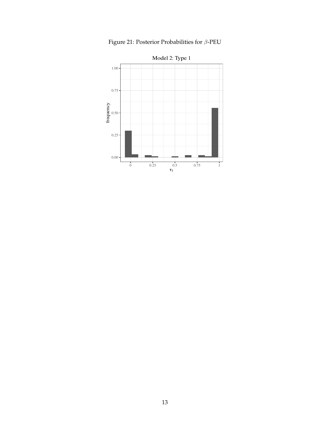<span id="page-12-0"></span>

Figure 21: Posterior Probabilities for  $\beta\text{-PEU}$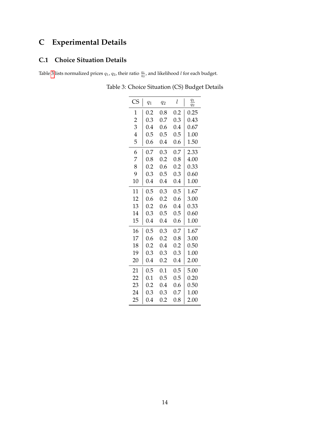# **C Experimental Details**

### **C.1 Choice Situation Details**

<span id="page-13-0"></span>Table [3](#page-13-0) lists normalized prices  $q_1$ ,  $q_2$ , their ratio  $\frac{q_1}{q_2}$ , and likelihood l for each budget.

| <b>CS</b>      | $q_1$   | $q_2$   | l       | $q_1$<br>$q_2$ |  |
|----------------|---------|---------|---------|----------------|--|
| 1              | 0.2     | 0.8     | 0.2     | 0.25           |  |
| $\overline{2}$ | 0.3     | 0.7     | 0.3     | 0.43           |  |
| 3              | $0.4\,$ | 0.6     | 0.4     | 0.67           |  |
| 4              | 0.5     | 0.5     | 0.5     | 1.00           |  |
| 5              | 0.6     | 0.4     | 0.6     | 1.50           |  |
| 6              | 0.7     | 0.3     | 0.7     | 2.33           |  |
| 7              | 0.8     | 0.2     | 0.8     | 4.00           |  |
| 8              | 0.2     | 0.6     | 0.2     | 0.33           |  |
| 9              | 0.3     | 0.5     | 0.3     | 0.60           |  |
| 10             | 0.4     | $0.4\,$ | $0.4\,$ | 1.00           |  |
| 11             | 0.5     | 0.3     | 0.5     | 1.67           |  |
| 12             | 0.6     | 0.2     | 0.6     | 3.00           |  |
| 13             | 0.2     | 0.6     | 0.4     | 0.33           |  |
| 14             | 0.3     | 0.5     | 0.5     | 0.60           |  |
| 15             | 0.4     | 0.4     | 0.6     | 1.00           |  |
| 16             | 0.5     | 0.3     | 0.7     | 1.67           |  |
| 17             | 0.6     | 0.2     | 0.8     | 3.00           |  |
| 18             | 0.2     | 0.4     | 0.2     | 0.50           |  |
| 19             | 0.3     | 0.3     | 0.3     | 1.00           |  |
| 20             | 0.4     | 0.2     | $0.4\,$ | 2.00           |  |
| 21             | 0.5     | 0.1     | 0.5     | 5.00           |  |
| 22             | 0.1     | 0.5     | 0.5     | 0.20           |  |
| 23             | 0.2     | $0.4\,$ | 0.6     | 0.50           |  |
| 24             | 0.3     | 0.3     | 0.7     | 1.00           |  |
| 25             | 0.4     | 0.2     | 0.8     | 2.00           |  |

Table 3: Choice Situation (CS) Budget Details